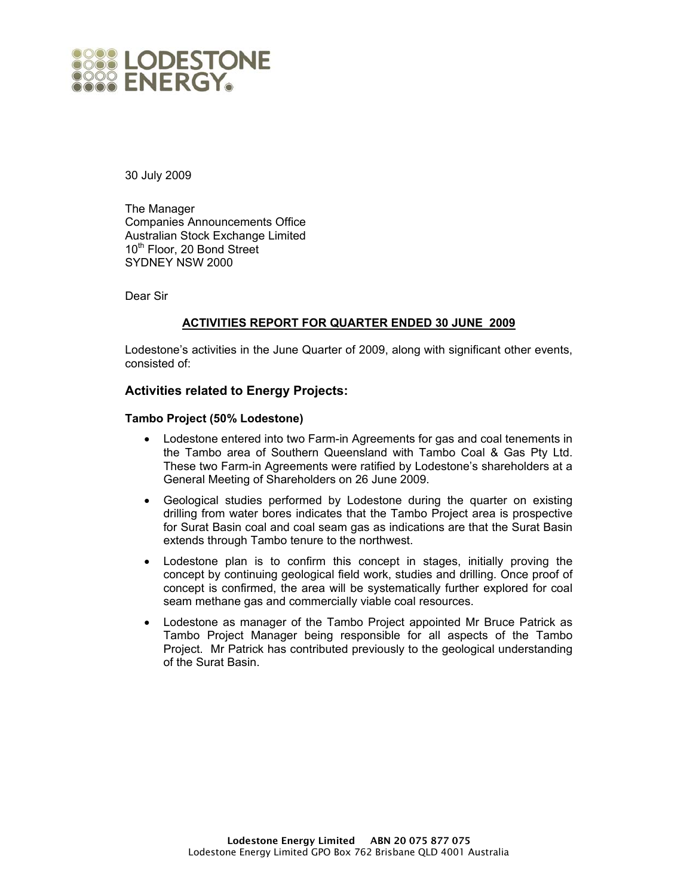

30 July 2009

The Manager Companies Announcements Office Australian Stock Exchange Limited 10<sup>th</sup> Floor, 20 Bond Street SYDNEY NSW 2000

Dear Sir

# **ACTIVITIES REPORT FOR QUARTER ENDED 30 JUNE 2009**

Lodestone's activities in the June Quarter of 2009, along with significant other events, consisted of:

# **Activities related to Energy Projects:**

#### **Tambo Project (50% Lodestone)**

- Lodestone entered into two Farm-in Agreements for gas and coal tenements in the Tambo area of Southern Queensland with Tambo Coal & Gas Pty Ltd. These two Farm-in Agreements were ratified by Lodestone's shareholders at a General Meeting of Shareholders on 26 June 2009.
- Geological studies performed by Lodestone during the quarter on existing drilling from water bores indicates that the Tambo Project area is prospective for Surat Basin coal and coal seam gas as indications are that the Surat Basin extends through Tambo tenure to the northwest.
- Lodestone plan is to confirm this concept in stages, initially proving the concept by continuing geological field work, studies and drilling. Once proof of concept is confirmed, the area will be systematically further explored for coal seam methane gas and commercially viable coal resources.
- Lodestone as manager of the Tambo Project appointed Mr Bruce Patrick as Tambo Project Manager being responsible for all aspects of the Tambo Project. Mr Patrick has contributed previously to the geological understanding of the Surat Basin.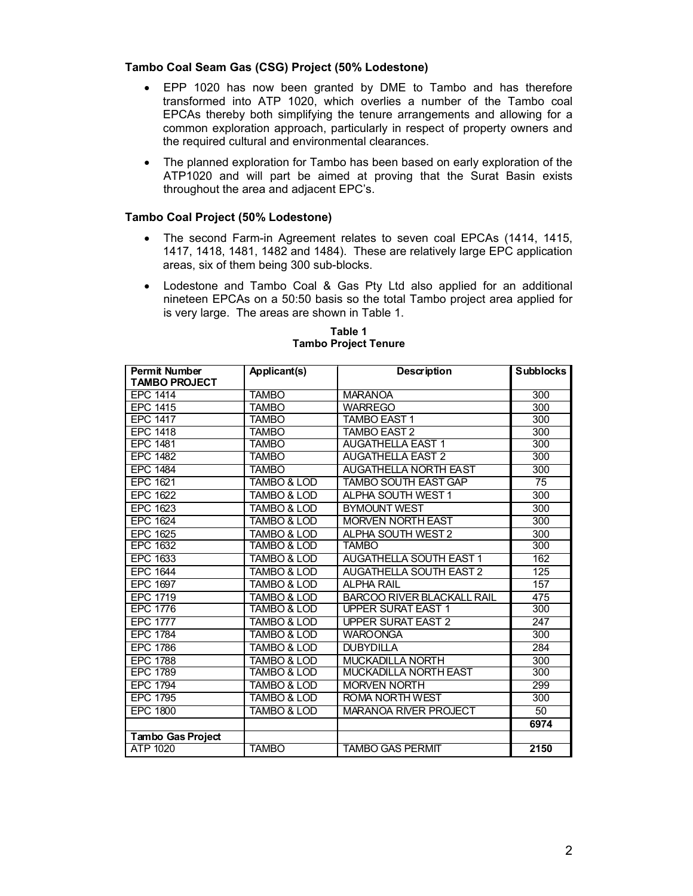#### **Tambo Coal Seam Gas (CSG) Project (50% Lodestone)**

- EPP 1020 has now been granted by DME to Tambo and has therefore transformed into ATP 1020, which overlies a number of the Tambo coal EPCAs thereby both simplifying the tenure arrangements and allowing for a common exploration approach, particularly in respect of property owners and the required cultural and environmental clearances.
- The planned exploration for Tambo has been based on early exploration of the ATP1020 and will part be aimed at proving that the Surat Basin exists throughout the area and adjacent EPC's.

# **Tambo Coal Project (50% Lodestone)**

- The second Farm-in Agreement relates to seven coal EPCAs (1414, 1415, 1417, 1418, 1481, 1482 and 1484). These are relatively large EPC application areas, six of them being 300 sub-blocks.
- Lodestone and Tambo Coal & Gas Pty Ltd also applied for an additional nineteen EPCAs on a 50:50 basis so the total Tambo project area applied for is very large. The areas are shown in Table 1.

| <b>Permit Number</b>     | Applicant(s)           | <b>Description</b>                | <b>Subblocks</b> |
|--------------------------|------------------------|-----------------------------------|------------------|
| <b>TAMBO PROJECT</b>     |                        |                                   |                  |
| <b>EPC 1414</b>          | <b>TAMBO</b>           | <b>MARANOA</b>                    | 300              |
| <b>EPC 1415</b>          | <b>TAMBO</b>           | <b>WARREGO</b>                    | 300              |
| <b>EPC 1417</b>          | <b>TAMBO</b>           | <b>TAMBO EAST 1</b>               | 300              |
| <b>EPC 1418</b>          | <b>TAMBO</b>           | <b>TAMBO EAST 2</b>               | 300              |
| <b>EPC 1481</b>          | <b>TAMBO</b>           | <b>AUGATHELLA EAST 1</b>          | 300              |
| <b>EPC 1482</b>          | <b>TAMBO</b>           | <b>AUGATHELLA EAST 2</b>          | 300              |
| <b>EPC 1484</b>          | <b>TAMBO</b>           | <b>AUGATHELLA NORTH EAST</b>      | 300              |
| <b>EPC 1621</b>          | <b>TAMBO &amp; LOD</b> | <b>TAMBO SOUTH EAST GAP</b>       | $\overline{75}$  |
| EPC 1622                 | <b>TAMBO &amp; LOD</b> | ALPHA SOUTH WEST 1                | 300              |
| EPC 1623                 | <b>TAMBO &amp; LOD</b> | <b>BYMOUNT WEST</b>               | 300              |
| <b>EPC 1624</b>          | <b>TAMBO &amp; LOD</b> | <b>MORVEN NORTH EAST</b>          | 300              |
| EPC 1625                 | <b>TAMBO &amp; LOD</b> | ALPHA SOUTH WEST 2                | 300              |
| <b>EPC 1632</b>          | TAMBO & LOD            | TAMBO                             | 300              |
| EPC 1633                 | <b>TAMBO &amp; LOD</b> | <b>AUGATHELLA SOUTH EAST 1</b>    | 162              |
| <b>EPC 1644</b>          | <b>TAMBO &amp; LOD</b> | <b>AUGATHELLA SOUTH EAST 2</b>    | 125              |
| EPC 1697                 | <b>TAMBO &amp; LOD</b> | <b>ALPHA RAIL</b>                 | 157              |
| <b>EPC 1719</b>          | <b>TAMBO &amp; LOD</b> | <b>BARCOO RIVER BLACKALL RAIL</b> | 475              |
| <b>EPC 1776</b>          | <b>TAMBO &amp; LOD</b> | <b>UPPER SURAT EAST 1</b>         | 300              |
| <b>EPC 1777</b>          | <b>TAMBO &amp; LOD</b> | <b>UPPER SURAT EAST 2</b>         | 247              |
| <b>EPC 1784</b>          | <b>TAMBO &amp; LOD</b> | <b>WAROONGA</b>                   | 300              |
| <b>EPC 1786</b>          | TAMBO & LOD            | <b>DUBYDILLA</b>                  | 284              |
| <b>EPC 1788</b>          | TAMBO & LOD            | <b>MUCKADILLA NORTH</b>           | 300              |
| <b>EPC 1789</b>          | <b>TAMBO &amp; LOD</b> | <b>MUCKADILLA NORTH EAST</b>      | 300              |
| <b>EPC 1794</b>          | <b>TAMBO &amp; LOD</b> | <b>MORVEN NORTH</b>               | 299              |
| <b>EPC 1795</b>          | <b>TAMBO &amp; LOD</b> | <b>ROMA NORTH WEST</b>            | 300              |
| <b>EPC 1800</b>          | <b>TAMBO &amp; LOD</b> | <b>MARANOA RIVER PROJECT</b>      | 50               |
|                          |                        |                                   | 6974             |
| <b>Tambo Gas Project</b> |                        |                                   |                  |
| ATP 1020                 | <b>TAMBO</b>           | <b>TAMBO GAS PERMIT</b>           | 2150             |

#### **Table 1 Tambo Project Tenure**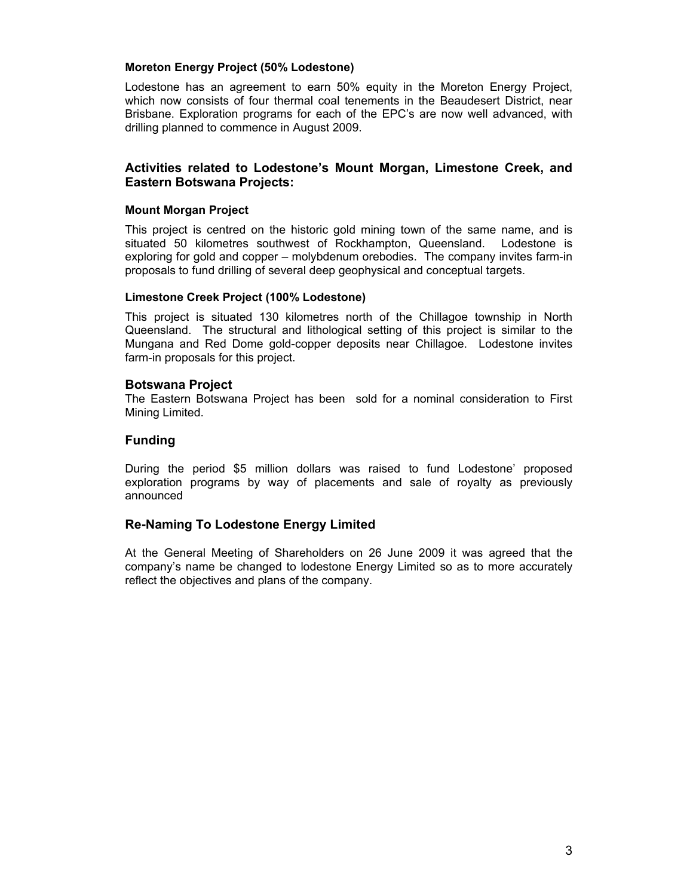#### **Moreton Energy Project (50% Lodestone)**

Lodestone has an agreement to earn 50% equity in the Moreton Energy Project, which now consists of four thermal coal tenements in the Beaudesert District, near Brisbane. Exploration programs for each of the EPC's are now well advanced, with drilling planned to commence in August 2009.

## **Activities related to Lodestone's Mount Morgan, Limestone Creek, and Eastern Botswana Projects:**

#### **Mount Morgan Project**

This project is centred on the historic gold mining town of the same name, and is situated 50 kilometres southwest of Rockhampton, Queensland. Lodestone is exploring for gold and copper – molybdenum orebodies. The company invites farm-in proposals to fund drilling of several deep geophysical and conceptual targets.

#### **Limestone Creek Project (100% Lodestone)**

This project is situated 130 kilometres north of the Chillagoe township in North Queensland. The structural and lithological setting of this project is similar to the Mungana and Red Dome gold-copper deposits near Chillagoe. Lodestone invites farm-in proposals for this project.

# **Botswana Project**

The Eastern Botswana Project has been sold for a nominal consideration to First Mining Limited.

# **Funding**

During the period \$5 million dollars was raised to fund Lodestone' proposed exploration programs by way of placements and sale of royalty as previously announced

# **Re-Naming To Lodestone Energy Limited**

At the General Meeting of Shareholders on 26 June 2009 it was agreed that the company's name be changed to lodestone Energy Limited so as to more accurately reflect the objectives and plans of the company.